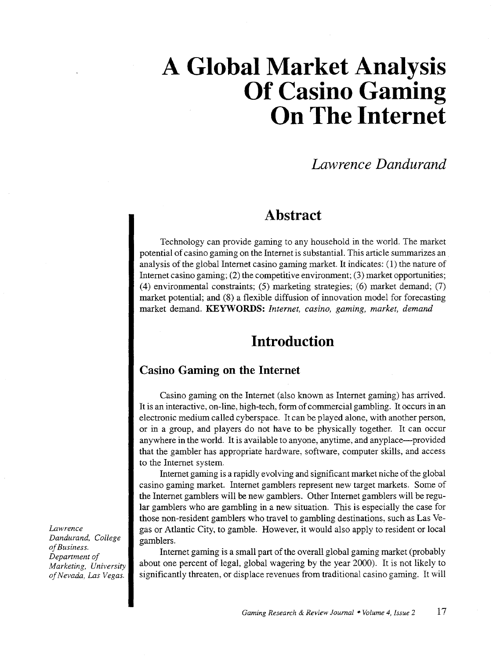*Lawrence Dandurand* 

# **Abstract**

Technology can provide gaming to any household in the world. The market potential of casino gaming on the Internet is substantial. This article summarizes an analysis of the global Internet casino gaming market. It indicates: ( 1) the nature of Internet casino gaming; (2) the competitive environment; (3) market opportunities; (4) environmental constraints; (5) marketing strategies; (6) market demand; (7) market potential; and (8) a flexible diffusion of innovation model for forecasting market demand. KEYWORDS: *Internet, casino, gaming, market, demand* 

# **Introduction**

#### **Casino Gaming on the Internet**

Casino gaming on the Internet (also known as Internet gaming) has arrived. It is an interactive, on-line, high-tech, form of commercial gambling. It occurs in an electronic medium called cyberspace. It can be played alone, with another person, or in a group, and players do not have to be physically together. It can occur anywhere in the world. It is available to anyone, anytime, and any place—provided that the gambler has appropriate hardware, software, computer skills, and access to the Internet system.

Internet gaming is a rapidly evolving and significant market niche of the global casino gaming market. Internet gamblers represent new target markets. Some of the Internet gamblers will be new gamblers. Other Internet gamblers will be regular gamblers who are gambling in a new situation. This is especially the case for those non-resident gamblers who travel to gambling destinations, such as Las Vegas or Atlantic City, to gamble. However, it would also apply to resident or local gamblers.

Internet gaming is a small part of the overall global gaming market (probably about one percent of legal, global wagering by the year 2000). It is not likely to significantly threaten, or displace revenues from traditional casino gaming. It will

*Lawrence Dandurand, College of Business. Department of Marketing, University of Nevada, Las Vegas.*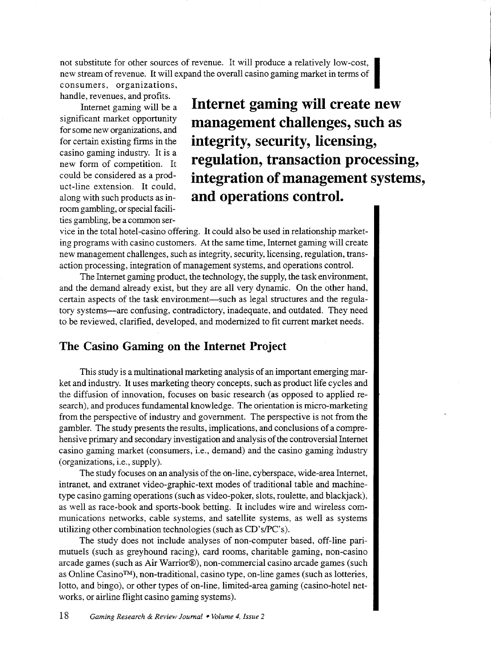not substitute for other sources of revenue. It will produce a relatively low-cost, new stream of revenue. It will expand the overall casino gaming market in terms of

consumers, organizations, handle, revenues, and profits.

Internet gaming will be a significant market opportunity for some new organizations, and for certain existing firms in the casino gaming industry. It is a new form of competition. It could be considered as a product-line extension. It could, along with such products as inroom gambling, or special facilities gambling, be a common ser**Internet gaming will create new management challenges, such as integrity, security, licensing, regulation, transaction processing, integration of management systems, and operations control.** 

vice in the total hotel-casino offering. It could also be used in relationship marketing programs with casino customers. At the same time, Internet gaming will create new management challenges, such as integrity, security, licensing, regulation, transaction processing, integration of management systems, and operations control.

The Internet gaming product, the technology, the supply, the task environment, and the demand already exist, but they are all very dynamic. On the other hand, certain aspects of the task environment-such as legal structures and the regulatory systems-are confusing, contradictory, inadequate, and outdated. They need to be reviewed, clarified, developed, and modernized to fit current market needs.

#### **The Casino Gaming on the Internet Project**

This study is a multinational marketing analysis of an important emerging market and industry. It uses marketing theory concepts, such as product life cycles and the diffusion of innovation, focuses on basic research (as opposed to applied research), and produces fundamental knowledge. The orientation is micro-marketing from the perspective of industry and government. The perspective is not from the gambler. The study presents the results, implications, and conclusions of a comprehensive primary and secondary investigation and analysis of the controversial Internet casino gaming market (consumers, i.e., demand) and the casino gaming industry (organizations, i.e., supply).

The study focuses on an analysis of the on-line, cyberspace, wide-area Internet, intranet, and extranet video-graphic-text modes of traditional table and machinetype casino gaming operations (such as video-poker, slots, roulette, and blackjack), as well as race-book and sports-book betting. It includes wire and wireless communications networks, cable systems, and satellite systems, as well as systems utilizing other combination technologies (such as CD's/PC's).

The study does not include analyses of non-computer based, off-line parimutuels (such as greyhound racing), card rooms, charitable gaming, non-casino arcade games (such as Air Warrior®), non-commercial casino arcade games (such as Online Casino™), non-traditional, casino type, on-line games (such as lotteries, lotto, and bingo), or other types of on-line, limited-area gaming (casino-hotel networks, or airline flight casino gaming systems).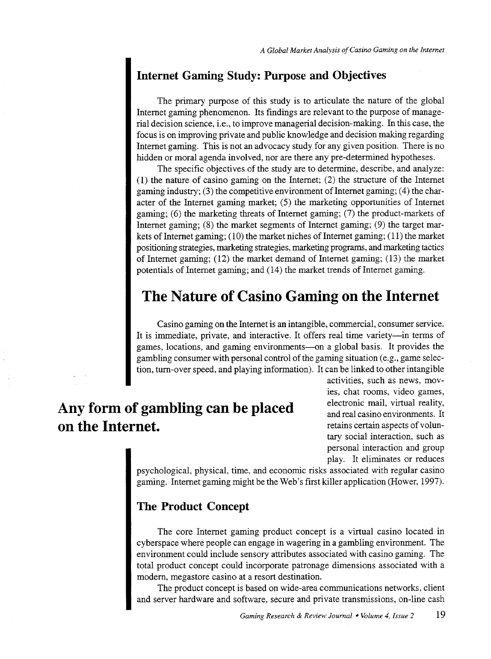#### **Internet Gaming Study: Purpose and Objectives**

The primary purpose of this study is to articulate the nature of the global Internet gaming phenomenon. Its findings are relevant to the purpose of managerial decision science, i.e., to improve managerial decision-making. In this case, the focus is on improving private and public knowledge and decision making regarding Internet gaming. This is not an advocacy study for any given position. There is no hidden or moral agenda involved, nor are there any pre-determined hypotheses.

The specific objectives of the study are to determine, describe, and analyze: (1) the nature of casino gaming on the Internet; (2) the structure of the Internet gaming industry; (3) the competitive environment of Internet gaming; ( 4) the character of the Internet gaming market; (5) the marketing opportunities of Internet gaming; (6) the marketing threats of Internet gaming; (7) the product-markets of Internet gaming; (8) the market segments of Internet gaming; (9) the target markets of Internet gaming;  $(10)$  the market niches of Internet gaming;  $(11)$  the market positioning strategies, marketing strategies, marketing programs, and marketing tactics of Internet gaming;  $(12)$  the market demand of Internet gaming;  $(13)$  the market potentials of Internet gaming; and (14) the market trends of Internet gaming.

# **The Nature of Casino Gaming on the Internet**

Casino gaming on the Internet is an intangible, commercial, consumer service. It is immediate, private, and interactive. It offers real time variety-in terms of games, locations, and gaming environments-on a global basis. It provides the gambling consumer with personal control of the gaming situation (e.g., game selection, tum-over speed, and playing information). It can be linked to other intangible

# **Any form of gambling can be placed on the Internet.**

activities, such as news, movies, chat rooms, video games, electronic mail, virtual reality, and real casino environments. It retains certain aspects of voluntary social interaction, such as personal interaction and group play. It eliminates or reduces

psychological, physical, time, and economic risks associated with regular casino gaming. Internet gaming might be the Web's first killer application (Hower, 1997).

#### **The Product Concept**

The core Internet gaming product concept is a virtual casino located in cyberspace where people can engage in wagering in a gambling environment. The environment could include sensory attributes associated with casino gaming. The total product concept could incorporate patronage dimensions associated with a modem, megastore casino at a resort destination.

The product concept is based on wide-area communications networks, client and server hardware and software, secure and private transmissions, on-line cash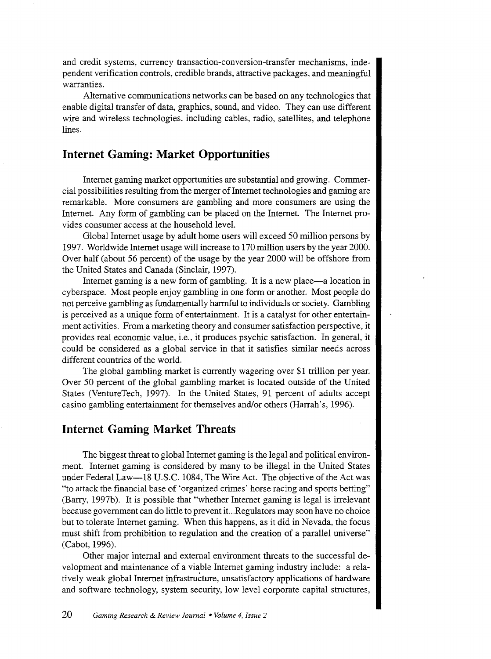and credit systems, currency transaction-conversion-transfer mechanisms, independent verification controls, credible brands, attractive packages, and meaningful warranties.

Alternative communications networks can be based on any technologies that enable digital transfer of data, graphics, sound, and video. They can use different wire and wireless technologies, including cables, radio, satellites, and telephone lines.

### **Internet Gaming: Market Opportunities**

Internet gaming market opportunities are substantial and growing. Commercial possibilities resulting from the merger of Internet technologies and gaming are remarkable. More consumers are gambling and more consumers are using the Internet. Any form of gambling can be placed on the Internet. The Internet provides consumer access at the household level.

Global Internet usage by adult home users will exceed 50 million persons by 1997. Worldwide Internet usage will increase to 170 million users by the year 2000. Over half (about 56 percent) of the usage by the year 2000 will be offshore from the United States and Canada (Sinclair, 1997).

Internet gaming is a new form of gambling. It is a new place—a location in cyberspace. Most people enjoy gambling in one form or another. Most people do not perceive gambling as fundamentally harmful to individuals or society. Gambling is perceived as a unique form of entertainment. It is a catalyst for other entertainment activities. From a marketing theory and consumer satisfaction perspective, it provides real economic value, i.e., it produces psychic satisfaction. In general, it could be considered as a global service in that it satisfies similar needs across different countries of the world.

The global gambling market is currently wagering over \$1 trillion per year. Over 50 percent of the global gambling market is located outside of the United States (VentureTech, 1997). In the United States, 91 percent of adults accept casino gambling entertainment for themselves and/or others (Harrah's, 1996).

#### **Internet Gaming Market Threats**

The biggest threat to global Internet gaming is the legal and political environment. Internet gaming is considered by many to be illegal in the United States under Federal Law-18 U.S.C. 1084, The Wire Act. The objective of the Act was "to attack the financial base of 'organized crimes' horse racing and sports betting" (Barry, 1997b). It is possible that "whether Internet gaming is legal is irrelevant because government can do little to prevent it... Regulators may soon have no choice but to tolerate Internet gaming. When this happens, as it did in Nevada, the focus must shift from prohibition to regulation and the creation of a parallel universe" (Cabot, 1996).

Other major internal and external environment threats to the successful development and maintenance of a viable Internet gaming industry include: a relatively weak global Internet infrastructure, unsatisfactory applications of hardware and software technology, system security, low level corporate capital structures,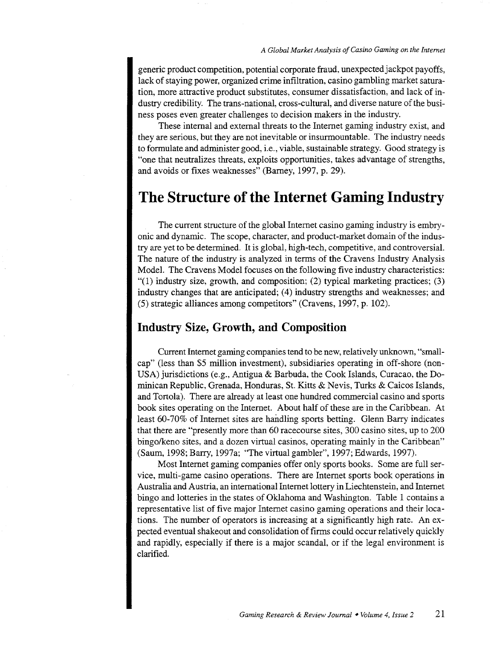generic product competition, potential corporate fraud, unexpected jackpot payoffs, lack of staying power, organized crime infiltration, casino gambling market saturation, more attractive product substitutes, consumer dissatisfaction, and lack of industry credibility. The trans-national, cross-cultural, and diverse nature of the business poses even greater challenges to decision makers in the industry.

These internal and external threats to the Internet gaming industry exist, and they are serious, but they are not inevitable or insurmountable. The industry needs to formulate and administer good, i.e., viable, sustainable strategy. Good strategy is "one that neutralizes threats, exploits opportunities, takes advantage of strengths, and avoids or fixes weaknesses" (Barney, 1997, p. 29).

# **The Structure of the Internet Gaming Industry**

The current structure of the global Internet casino gaming industry is embryonic and dynamic. The scope, character, and product-market domain of the industry are yet to be determined. It is global, high-tech, competitive, and controversial. The nature of the industry is analyzed in terms of the Cravens Industry Analysis Model. The Cravens Model focuses on the following five industry characteristics: "(1) industry size, growth, and composition; (2) typical marketing practices; (3) industry changes that are anticipated; (4) industry strengths and weaknesses; and (5) strategic alliances among competitors" (Cravens, 1997, p. 102).

### **Industry Size, Growth, and Composition**

Current Internet gaming companies tend to be new, relatively unknown, "smallcap" (less than \$5 million investment), subsidiaries operating in off-shore (non-USA) jurisdictions (e.g., Antigua & Barbuda, the Cook Islands, Curacao, the Dominican Republic, Grenada, Honduras, St. Kitts & Nevis, Turks & Caicos Islands, and Tortola). There are already at least one hundred commercial casino and sports book sites operating on the Internet. About half of these are in the Caribbean. At least 60-70% of Internet sites are handling sports betting. Glenn Barry indicates that there are "presently more than 60 racecourse sites, 300 casino sites, up to 200 bingo/keno sites, and a dozen virtual casinos, operating mainly in the Caribbean" (Saum, 1998; Barry, 1997a; "The virtual gambler", 1997; Edwards, 1997).

Most Internet gaming companies offer only sports books. Some are full service, multi-game casino operations. There are Internet sports book operations in Australia and Austria, an international Internet lottery in Liechtenstein, and Internet bingo and lotteries in the states of Oklahoma and Washington. Table 1 contains a representative list of five major Internet casino gaming operations and their locations. The number of operators is increasing at a significantly high rate. An expected eventual shakeout and consolidation of firms could occur relatively quickly and rapidly, especially if there is a major scandal, or if the legal environment is clarified.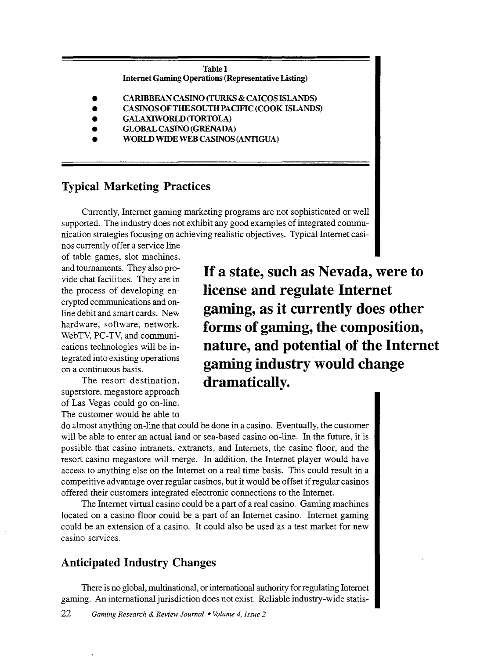#### Table I Internet Gaming Operations (Representative Listing)

- **e** CARIBBEAN CASINO (TURKS & CAICOS ISLANDS)
- **e** CASINOS OFTHESOUTHPACIF1C (COOK ISLANDS)
- **e** GALAXIWORLD(TORTOLA)
- **GLOBAL CASINO (GRENADA)**
- **e** WORLD WIDE WEB CASINOS(ANTIGUA)

#### **Typical Marketing Practices**

Currently, Internet gaming marketing programs are not sophisticated or well supported. The industry does not exhibit any good examples of integrated communication strategies focusing on achieving realistic objectives. Typical Internet casi-

nos currently offer a service line of table games, slot machines, and tournaments. They also provide chat facilities. They are in the process of developing encrypted communications and online debit and smart cards. New hardware, software, network, WebTV, PC-TV, and communications technologies will be integrated into existing operations on a continuous basis.

The resort destination, superstore, megastore approach of Las Vegas could go on-line. The customer would be able to

**If a state, such as Nevada, were to license and regulate Internet gaming, as it currently does other forms of gaming, the composition, nature, and potential of the Internet gaming industry would change dramatically.** 

do almost anything on-line that could be done in a casino. Eventually, the customer will be able to enter an actual land or sea-based casino on-line. In the future, it is possible that casino intranets, extranets, and Internets, the casino floor, and the resort casino megastore will merge. In addition, the Internet player would have access to anything else on the Internet on a real time basis. This could result in a competitive advantage over regular casinos, but it would be offset if regular casinos offered their customers integrated electronic connections to the Internet.

The Internet virtual casino could be a part of a real casino. Gaming machines located on a casino floor could be a part of an Internet casino. Internet gaming could be an extension of a casino. It could also be used as a test market for new casino services.

#### **Anticipated Industry Changes**

There is no global, multinational, or international authority for regulating Internet gaming. An international jurisdiction does not exist. Reliable industry-wide statis-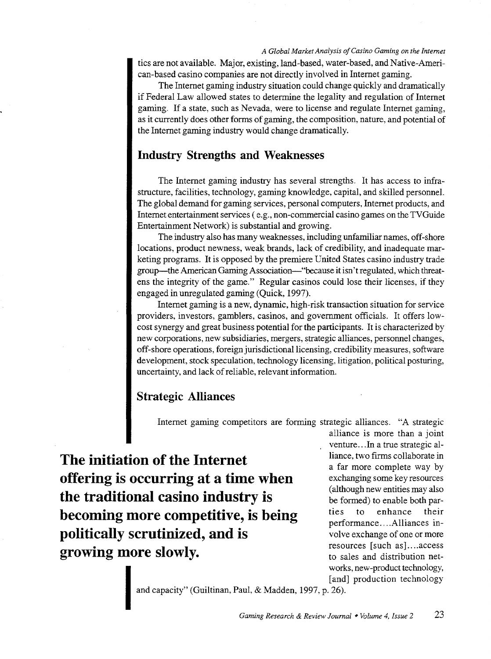tics are not available. Major, existing, land-based, water-based, and Native-American-based casino companies are not directly involved in Internet gaming.

The Internet gaming industry situation could change quickly and dramatically if Federal Law allowed states to determine the legality and regulation of Internet gaming. If a state, such as Nevada, were to license and regulate Internet gaming, as it currently does other forms of gaming, the composition, nature, and potential of the Internet gaming industry would change dramatically.

#### **Industry Strengths and Weaknesses**

The Internet gaming industry has several strengths. It has access to infrastructure, facilities, technology, gaming knowledge, capital, and skilled personnel. The global demand for gaming services, personal computers, Internet products, and Internet entertainment services (e.g., non-commercial casino games on the TV Guide Entertainment Network) is substantial and growing.

The industry also has many weaknesses, including unfamiliar names, off-shore locations, product newness, weak brands, lack of credibility, and inadequate marketing programs. It is opposed by the premiere United States casino industry trade group-the American Gaming Association-"because it isn't regulated, which threatens the integrity of the game." Regular casinos could lose their licenses, if they engaged in unregulated gaming (Quick, 1997).

Internet gaming is a new, dynamic, high-risk transaction situation for service providers, investors, gamblers, casinos, and government officials. It offers lowcost synergy and great business potential for the participants. It is characterized by new corporations, new subsidiaries, mergers, strategic alliances, personnel changes, off-shore operations, foreign jurisdictional licensing, credibility measures, software development, stock speculation, technology licensing, litigation, political posturing, uncertainty, and lack of reliable, relevant information.

#### **Strategic Alliances**

Internet gaming competitors are forming strategic alliances. "A strategic

**The initiation of the Internet** liance, two firms collaborate in **offering is occurring at a time when the traditional casino industry is becoming more competitive, is being politically scrutinized, and is growing more slowly.** 

alliance is more than a joint venture ... In a true strategic ala far more complete way by exchanging some key resources (although new entities may also be formed) to enable both parties to enhance their performance .... Alliances involve exchange of one or more resources [such as] .... access to sales and distribution networks, new-product technology, works, new-product technology,<br>
[and] production technology<br>
and capacity" (Guiltinan, Paul, & Madden, 1997, p. 26).<br>
Gaming Research & Review Journal • Volume 4, Issue 2 23

and capacity" (Guiltinan, Paul, & Madden, 1997, p. 26).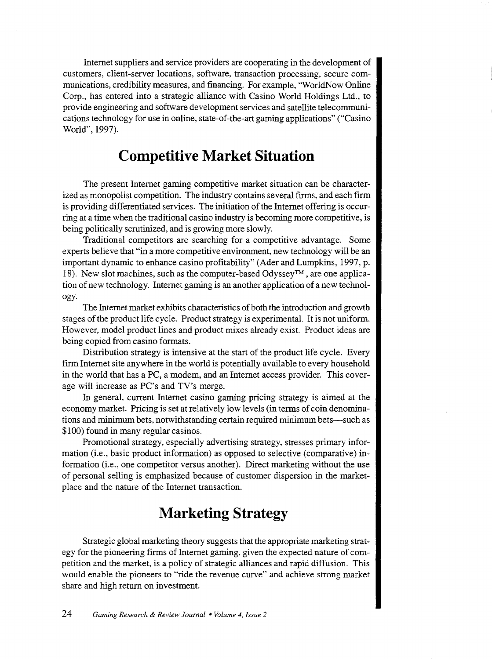Internet suppliers and service providers are cooperating in the development of customers, client-server locations, software, transaction processing, secure communications, credibility measures, and financing. For example, "WorldNow Online Corp., has entered into a strategic alliance with Casino World Holdings Ltd., to provide engineering and software development services and satellite telecommunications technology for use in online, state-of-the-art gaming applications" ("Casino World", 1997).

## **Competitive Market Situation**

The present Internet gaming competitive market situation can be characterized as monopolist competition. The industry contains several firms, and each firm is providing differentiated services. The initiation of the Internet offering is occurring at a time when the traditional casino industry is becoming more competitive, is being politically scrutinized, and is growing more slowly.

Traditional competitors are searching for a competitive advantage. Some experts believe that "in a more competitive environment, new technology will be an important dynamic to enhance casino profitability" (Ader and Lumpkins, 1997, p. 18). New slot machines, such as the computer-based Odyssey™, are one application of new technology. Internet gaming is an another application of a new technology.

The Internet market exhibits characteristics of both the introduction and growth stages of the product life cycle. Product strategy is experimental. It is not uniform. However, model product lines and product mixes already exist. Product ideas are being copied from casino formats.

Distribution strategy is intensive at the start of the product life cycle. Every firm Internet site anywhere in the world is potentially available to every household in the world that has a PC, a modem, and an Internet access provider. This coverage will increase as PC's and TV's merge.

In general, current Internet casino gaming pricing strategy is aimed at the economy market. Pricing is set at relatively low levels (in terms of coin denominations and minimum bets, notwithstanding certain required minimum bets-such as \$100) found in many regular casinos.

Promotional strategy, especially advertising strategy, stresses primary information (i.e., basic product information) as opposed to selective (comparative) information (i.e., one competitor versus another). Direct marketing without the use of personal selling is emphasized because of customer dispersion in the marketplace and the nature of the Internet transaction.

# **Marketing Strategy**

Strategic global marketing theory suggests that the appropriate marketing strategy for the pioneering firms of Internet gaming, given the expected nature of competition and the market, is a policy of strategic alliances and rapid diffusion. This would enable the pioneers to "ride the revenue curve" and achieve strong market share and high return on investment.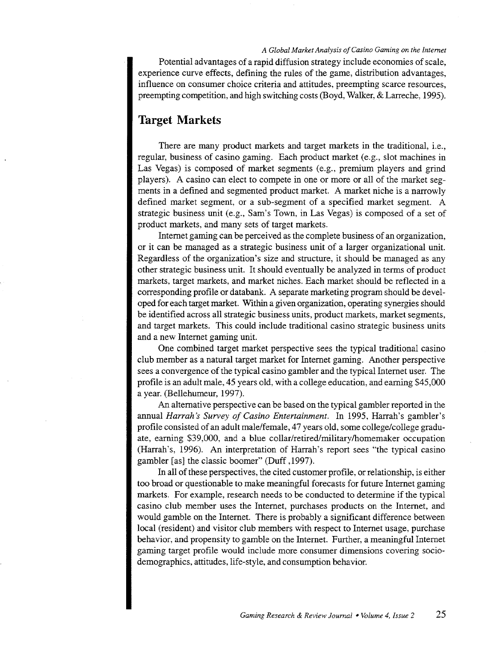Potential advantages of a rapid diffusion strategy include economies of scale, experience curve effects, defining the rules of the game, distribution advantages, influence on consumer choice criteria and attitudes, preempting scarce resources, preempting competition, and high switching costs (Boyd, Walker, & Larreche, 1995).

#### **Target Markets**

There are many product markets and target markets in the traditional, i.e., regular, business of casino gaming. Each product market (e.g., slot machines in Las Vegas) is composed of market segments (e.g., premium players and grind players). A casino can elect to compete in one or more or all of the market segments in a defined and segmented product market. A market niche is a narrowly defined market segment, or a sub-segment of a specified market segment. A strategic business unit (e.g., Sam's Town, in Las Vegas) is composed of a set of product markets, and many sets of target markets.

Internet gaming can be perceived as the complete business of an organization, or it can be managed as a strategic business unit of a larger organizational unit. Regardless of the organization's size and structure, it should be managed as any other strategic business unit. It should eventually be analyzed in terms of product markets, target markets, and market niches. Each market should be reflected in a corresponding profile or databank. A separate marketing program should be developed for each target market. Within a given organization, operating synergies should be identified across all strategic business units, product markets, market segments, and target markets. This could include traditional casino strategic business units and a new Internet gaming unit.

One combined target market perspective sees the typical traditional casino club member as a natural target market for Internet gaming. Another perspective sees a convergence of the typical casino gambler and the typical Internet user. The profile is an adult male, 45 years old, with a college education, and earning \$45,000 a year. (Bellehumeur, 1997).

An alternative perspective can be based on the typical gambler reported in the annual *Harrah's Survey of Casino Entertainment.* In 1995, Harrah's gambler's profile consisted of an adult male/female, 47 years old, some college/college graduate, earning \$39,000, and a blue collar/retired/military/homemaker occupation (Harrah's, 1996). An interpretation of Harrah's report sees "the typical casino gambler [as] the classic boomer" (Duff ,1997).

In all of these perspectives, the cited customer profile, or relationship, is either too broad or questionable to make meaningful forecasts for future Internet gaming markets. For example, research needs to be conducted to determine if the typical casino club member uses the Internet, purchases products on the Internet, and would gamble on the Internet. There is probably a significant difference between local (resident) and visitor club members with respect to Internet usage, purchase behavior, and propensity to gamble on the Internet. Further, a meaningful Internet gaming target profile would include more consumer dimensions covering sociodemographics, attitudes, life-style, and consumption behavior.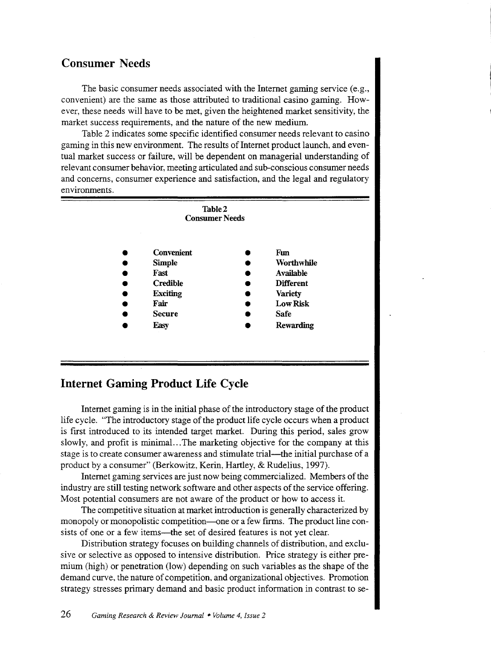#### **Consumer Needs**

The basic consumer needs associated with the Internet gaming service (e.g., convenient) are the same as those attributed to traditional casino gaming. However, these needs will have to be met, given the heightened market sensitivity, the market success requirements, and the nature of the new medium.

Table 2 indicates some specific identified consumer needs relevant to casino gaming in this new environment. The results of Internet product launch, and eventual market success or failure, will be dependent on managerial understanding of relevant consumer behavior, meeting articulated and sub-conscious consumer needs and concerns, consumer experience and satisfaction, and the legal and regulatory environments.



#### **Internet Gaming Product Life Cycle**

Internet gaming is in the initial phase of the introductory stage of the product life cycle. "The introductory stage of the product life cycle occurs when a product is first introduced to its intended target market. During this period, sales grow slowly, and profit is minimal.. .The marketing objective for the company at this stage is to create consumer awareness and stimulate trial—the initial purchase of a product by a consumer" (Berkowitz, Kerin, Hartley, & Rudelius, 1997).

Internet gaming services are just now being commercialized. Members of the industry are still testing network software and other aspects of the service offering. Most potential consumers are not aware of the product or how to access it.

The competitive situation at market introduction is generally characterized by monopoly or monopolistic competition—one or a few firms. The product line consists of one or a few items--- the set of desired features is not yet clear.

Distribution strategy focuses on building channels of distribution, and exclusive or selective as opposed to intensive distribution. Price strategy is either premium (high) or penetration (low) depending on such variables as the shape of the demand curve, the nature of competition, and organizational objectives. Promotion strategy stresses primary demand and basic product information in contrast to se-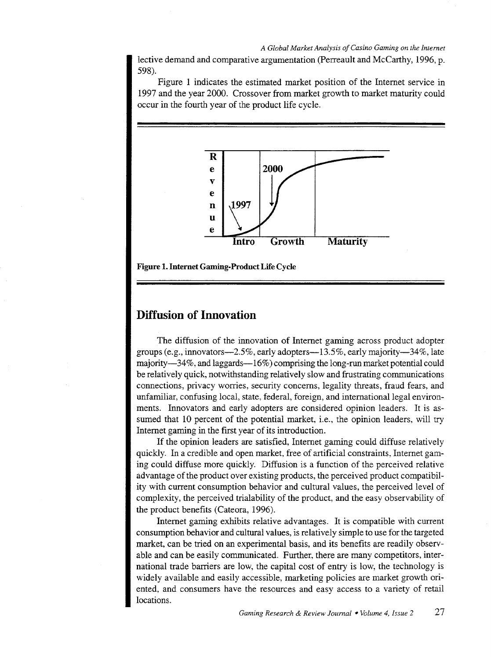lective demand and comparative argumentation (Perreault and McCarthy, 1996, p. 598).

Figure 1 indicates the estimated market position of the Internet service in 1997 and the year 2000. Crossover from market growth to market maturity could occur in the fourth year of the product life cycle.



Figure 1. Internet Gaming-Product Life Cycle

### **Diffusion of Innovation**

The diffusion of the innovation of Internet gaming across product adopter groups (e.g., innovators-2.5%, early adopters-13.5%, early majority-34%, late majority-34%, and laggards-16%) comprising the long -run market potential could be relatively quick, notwithstanding relatively slow and frustrating communications connections, privacy worries, security concerns, legality threats, fraud fears, and unfamiliar, confusing local, state, federal, foreign, and international legal environments. Innovators and early adopters are considered opinion leaders. It is assumed that 10 percent of the potential market, i.e., the opinion leaders, will try Internet gaming in the first year of its introduction.

If the opinion leaders are satisfied, Internet gaming could diffuse relatively quickly. In a credible and open market, free of artificial constraints, Internet gaming could diffuse more quickly. Diffusion is a function of the perceived relative advantage of the product over existing products, the perceived product compatibility with current consumption behavior and cultural values, the perceived level of complexity, the perceived trialability of the product, and the easy observability of the product benefits (Cateora, 1996).

Internet gaming exhibits relative advantages. It is compatible with current consumption behavior and cultural values, is relatively simple to use for the targeted market, can be tried on an experimental basis, and its benefits are readily observable and can be easily communicated. Further, there are many competitors, international trade barriers are low, the capital cost of entry is low, the technology is widely available and easily accessible, marketing policies are market growth oriented, and consumers have the resources and easy access to a variety of retail locations.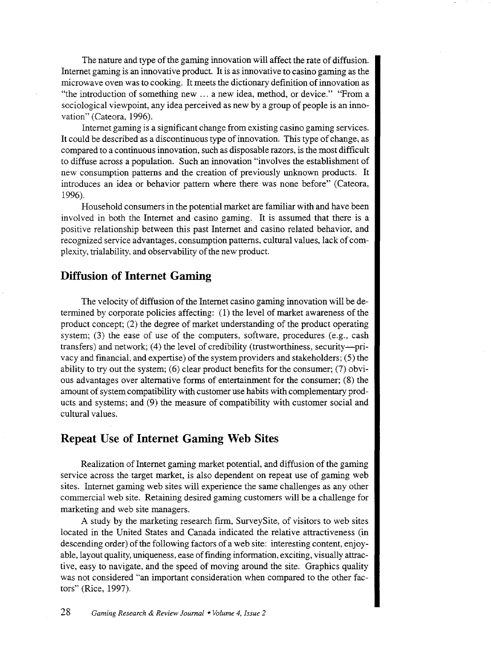The nature and type of the gaming innovation will affect the rate of diffusion. Internet gaming is an innovative product. It is as innovative to casino gaming as the microwave oven was to cooking. It meets the dictionary definition of innovation as "the introduction of something new ... a new idea, method, or device." "From a sociological viewpoint, any idea perceived as new by a group of people is an innovation" (Cateora, 1996).

Internet gaming is a significant change from existing casino gaming services. It could be described as a discontinuous type of innovation. This type of change, as compared to a continuous innovation, such as disposable razors, is the most difficult to diffuse across a population. Such an innovation "involves the establishment of new consumption patterns and the creation of previously unknown products. It introduces an idea or behavior pattern where there was none before" (Cateora, 1996).

Household consumers in the potential market are familiar with and have been involved in both the Internet and casino gaming. It is assumed that there is a positive relationship between this past Internet and casino related behavior, and recognized service advantages, consumption patterns, cultural values, lack of complexity, trialability, and observability of the new product.

#### **Diffusion of Internet Gaming**

The velocity of diffusion of the Internet casino gaming innovation will be determined by corporate policies affecting: ( 1) the level of market awareness of the product concept; (2) the degree of market understanding of the product operating system; (3) the ease of use of the computers, software, procedures (e.g., cash transfers) and network; (4) the level of credibility (trustworthiness, security-privacy and financial, and expertise) of the system providers and stakeholders; (5) the ability to try out the system; (6) clear product benefits for the consumer; (7) obvious advantages over alternative forms of entertainment for the consumer; (8) the amount of system compatibility with customer use habits with complementary products and systems; and (9) the measure of compatibility with customer social and cultural values.

#### **Repeat Use of Internet Gaming Web Sites**

Realization of Internet gaming market potential, and diffusion of the gaming service across the target market, is also dependent on repeat use of gaming web sites. Internet gaming web sites will experience the same challenges as any other commercial web site. Retaining desired gaming customers will be a challenge for marketing and web site managers.

A study by the marketing research firm, SurveySite, of visitors to web sites located in the United States and Canada indicated the relative attractiveness (in descending order) of the following factors of a web site: interesting content, enjoyable, layout quality, uniqueness, ease of finding information, exciting, visually attractive, easy to navigate, and the speed of moving around the site. Graphics quality was not considered "an important consideration when compared to the other factors" (Rice, 1997).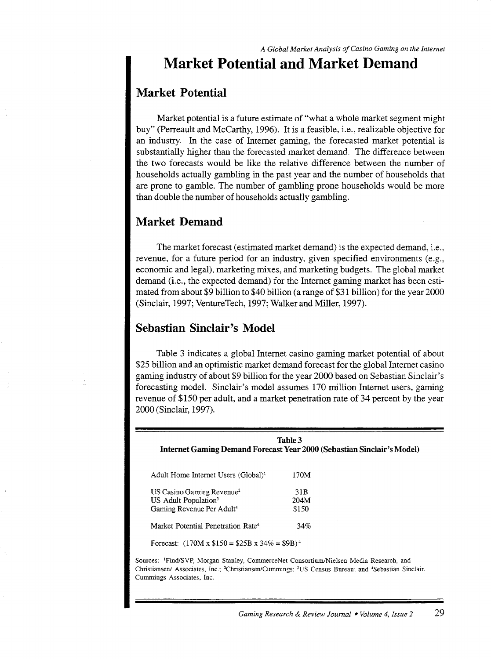# **Market Potential and Market Demand**

### **Market Potential**

Market potential is a future estimate of "what a whole market segment might buy" (Perreault and McCarthy, 1996). It is a feasible, i.e., realizable objective for an industry. In the case of Internet gaming, the forecasted market potential is substantially higher than the forecasted market demand. The difference between the two forecasts would be like the relative difference between the number of households actually gambling in the past year and the number of households that are prone to gamble. The number of gambling prone households would be more than double the number of households actually gambling.

### **Market Demand**

The market forecast (estimated market demand) is the expected demand, i.e., revenue, for a future period for an industry, given specified environments (e.g., economic and legal), marketing mixes, and marketing budgets. The global market demand (i.e., the expected demand) for the Internet gaming market has been estimated from about \$9 billion to \$40 billion (a range of \$31 billion) for the year 2000 (Sinclair, 1997; VentureTech, 1997; Walker and Miller, 1997).

### **Sebastian Sinclair's Model**

Table 3 indicates a global Internet casino gaming market potential of about \$25 billion and an optimistic market demand forecast for the global Internet casino gaming industry of about \$9 billion for the year 2000 based on Sebastian Sinclair's forecasting model. Sinclair's model assumes 170 million Internet users, gaming revenue of \$150 per adult, and a market penetration rate of 34 percent by the year 2000 (Sinclair, 1997).

|                                                                                                                    | Table 3<br>Internet Gaming Demand Forecast Year 2000 (Sebastian Sinclair's Model)           |  |
|--------------------------------------------------------------------------------------------------------------------|---------------------------------------------------------------------------------------------|--|
| Adult Home Internet Users (Global) <sup>1</sup>                                                                    | 170M                                                                                        |  |
| US Casino Gaming Revenue <sup>2</sup><br>US Adult Population <sup>3</sup><br>Gaming Revenue Per Adult <sup>4</sup> | 31 B<br>204M<br>\$150                                                                       |  |
| Market Potential Penetration Rate <sup>4</sup>                                                                     | 34%                                                                                         |  |
| Forecast: $(170M \times $150 = $25B \times 34\% = $9B)^4$                                                          |                                                                                             |  |
|                                                                                                                    | res <sup>-1</sup> Find/SVP Morgan Stanley CommerceNet Consortium/Nielsen Media Research and |  |

Sources: 'Find/SVP, Morgan Stanley, ConunerceNet Consortium/Nielsen Media Research, and Christiansen/ Associates, Inc.; <sup>2</sup>Christiansen/Cummings; <sup>3</sup>US Census Bureau; and <sup>4</sup>Sebastian Sinclair. Cummings Associates, Inc.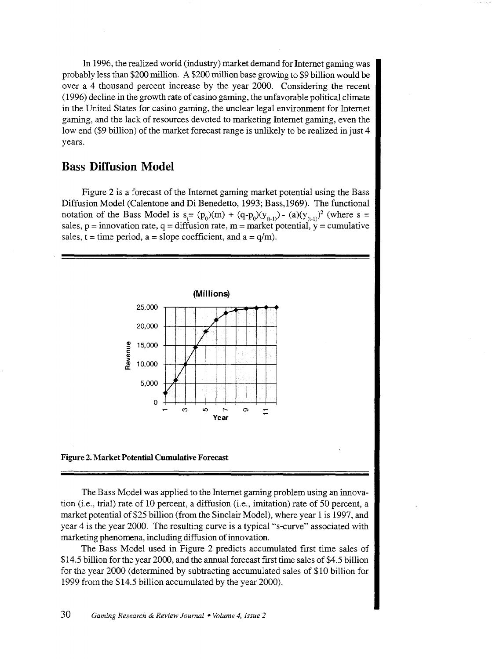In 1996, the realized world (industry) market demand for Internet gaming was probably less than \$200 million. A \$200 million base growing to \$9 billion would be over a 4 thousand percent increase by the year 2000. Considering the recent ( 1996) decline in the growth rate of casino gaming, the unfavorable political climate in the United States for casino gaming, the unclear legal environment for Internet gaming, and the lack of resources devoted to marketing Internet gaming, even the low end (\$9 billion) of the market forecast range is unlikely to be realized in just 4 years.

#### **Bass Diffusion Model**

Figure 2 is a forecast of the Internet gaming market potential using the Bass Diffusion Model (Calentone and Di Benedetto, 1993; Bass, 1969). The functional notation of the Bass Model is  $s_t = (p_0)(m) + (q-p_0)(y_{(t-1)}) - (a)(y_{(t-1)})^2$  (where  $s =$ sales,  $p =$  innovation rate,  $q =$  diffusion rate,  $m =$  market potential,  $y =$  cumulative sales,  $t =$  time period,  $a =$  slope coefficient, and  $a = q/m$ ).



**Figure 2. Market Potential Cumulative Forecast** 

The Bass Model was applied to the Internet gaming problem using an innovation (i.e., trial) rate of 10 percent, a diffusion (i.e., imitation) rate of 50 percent, a market potential of \$25 billion (from the Sinclair Model), where year 1 is 1997, and year 4 is the year 2000. The resulting curve is a typical "s-curve" associated with marketing phenomena, including diffusion of innovation.

The Bass Model used in Figure 2 predicts accumulated first time sales of \$14.5 billion for the year 2000, and the annual forecast first time sales of \$4.5 billion for the year 2000 (determined by subtracting accumulated sales of \$10 billion for 1999 from the \$14.5 billion accumulated by the year 2000).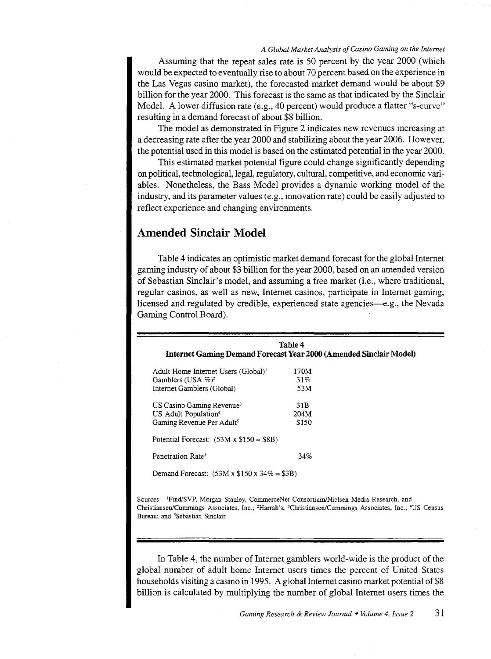Assuming that the repeat sales rate is 50 percent by the year 2000 (which would be expected to eventually rise to about 70 percent based on the experience in the Las Vegas casino market), the forecasted market demand would be about \$9 billion for the year 2000. This forecast is the same as that indicated by the Sinclair Model. A lower diffusion rate (e.g., 40 percent) would produce a flatter "s-curve" resulting in a demand forecast of about \$8 billion.

The model as demonstrated in Figure 2 indicates new revenues increasing at a decreasing rate after the year 2000 and stabilizing about the year 2006. However, the potential used in this model is based on the estimated potential in the year 2000.

This estimated market potential figure could change significantly depending on political, technological, legal, regulatory, cultural, competitive, and economic variables. Nonetheless, the Bass Model provides a dynamic working model of the industry, and its parameter values (e.g., innovation rate) could be easily adjusted to reflect experience and changing environments.

#### **Amended Sinclair Model**

Table 4 indicates an optimistic market demand forecast for the global Internet gaming industry of about \$3 billion for the year 2000, based on an amended version of Sebastian Sinclair's model, and assuming a free market (i.e., where. traditional, regular casinos, as well as new, Internet casinos, participate in Internet gaming, licensed and regulated by credible, experienced state agencies-e.g., the Nevada Gaming Control Board).

|                                                                                                                    | Table 4<br><b>Internet Gaming Demand Forecast Year 2000 (Amended Sinclair Model)</b> |  |
|--------------------------------------------------------------------------------------------------------------------|--------------------------------------------------------------------------------------|--|
| Adult Home Internet Users (Global) <sup>1</sup><br>Gamblers (USA $\%$ ) <sup>2</sup><br>Internet Gamblers (Global) | 170M<br>31%<br>53M                                                                   |  |
| US Casino Gaming Revenue <sup>3</sup><br>US Adult Population <sup>4</sup><br>Gaming Revenue Per Adult <sup>5</sup> | 31B<br>204M<br>\$150                                                                 |  |
| Potential Forecast: $(53M \times $150 = $8B)$                                                                      |                                                                                      |  |
| Penetration Rate <sup>5</sup>                                                                                      | 34%                                                                                  |  |
| Demand Forecast: $(53M \times $150 \times 34\% = $3B)$                                                             |                                                                                      |  |

Sources: 'Find/SVP, Morgan Stanley, CommerceNet Consortium/Nielsen Media Research, and Christiansen/Cummings Associates, Inc.; <sup>2</sup>Harrah's; <sup>3</sup>Christiansen/Cummings Associates, Inc.; <sup>4</sup>US Census Bureau; and <sup>5</sup>Sebastian Sinclair.

In Table 4, the number of Internet gamblers world-wide is the product of the global number of adult home Internet users times the percent of United States households visiting a casino in 1995. A global Internet casino market potential of \$8 billion is calculated by multiplying the number of global Internet users times the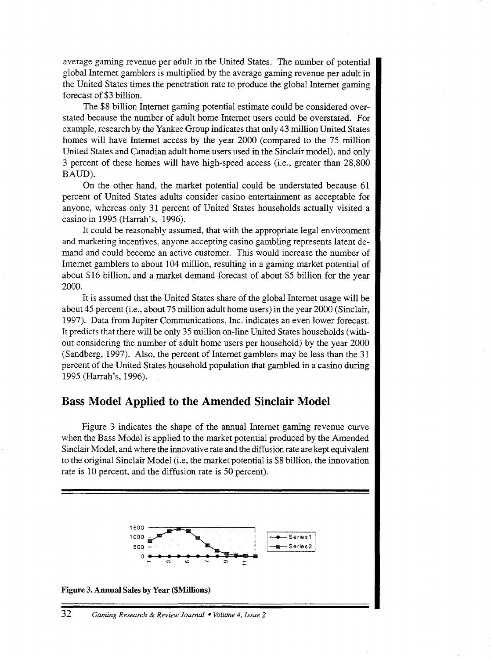average gaming revenue per adult in the United States. The number of potential global Internet gamblers is multiplied by the average gaming revenue per adult in the United States times the penetration rate to produce the global Internet gaming forecast of \$3 billion.

The \$8 billion Internet gaming potential estimate could be considered overstated because the number of adult home Internet users could be overstated. For example, research by the Yankee Group indicates that only 43 million United States homes will have Internet access by the year 2000 (compared to the 75 million United States and Canadian adult home users used in the Sinclair model), and only 3 percent of these homes will have high-speed access (i.e., greater than 28,800 BAUD).

On the other hand, the market potential could be understated because 61 percent of United States adults consider casino entertainment as acceptable for anyone, whereas only 31 percent of United States households actually visited a casino in 1995 (Harrah's, 1996).

It could be reasonably assumed, that with the appropriate legal environment and marketing incentives, anyone accepting casino gambling represents latent demand and could become an active customer. This would increase the number of Internet gamblers to about 104 million, resulting in a gaming market potential of about \$16 billion, and a market demand forecast of about \$5 billion for the year 2000.

It is assumed that the United States share of the global Internet usage will be about 45 percent (i.e., about 75 million adult home users) in the year 2000 (Sinclair, 1997). Data from Jupiter Communications, Inc. indicates an even lower forecast. It predicts that there will be only 35 million on-line United States households (without considering the number of adult home users per household) by the year 2000 (Sandberg, 1997). Also, the percent of Internet gamblers may be less than the 31 percent of the United States household population that gambled in a casino during 1995 (Harrah's, 1996).

### Bass **Model Applied to the Amended Sinclair Model**

Figure 3 indicates the shape of the annual Internet gaming revenue curve when the Bass Model is applied to the market potential produced by the Amended Sinclair Model, and where the innovative rate and the diffusion rate are kept equivalent to the original Sinclair Model (i.e, the market potential is \$8 billion, the innovation rate is 10 percent, and the diffusion rate is 50 percent).

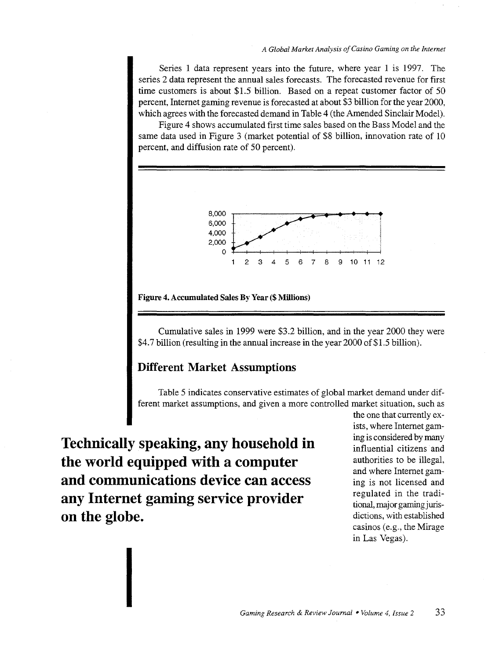Series 1 data represent years into the future, where year 1 is 1997. The series 2 data represent the annual sales forecasts. The forecasted revenue for first time customers is about \$1.5 billion. Based on a repeat customer factor of 50 percent, Internet gaming revenue is forecasted at about \$3 billion for the year 2000, which agrees with the forecasted demand in Table 4 (the Amended Sinclair Model).

Figure 4 shows accumulated first time sales based on the Bass Model and the same data used in Figure 3 (market potential of \$8 billion, innovation rate of 10 percent, and diffusion rate of 50 percent).



**Figure 4. Accumulated** Sales By **Year(\$ Millions)** 

Cumulative sales in 1999 were \$3.2 billion, and in the year 2000 they were \$4.7 billion (resulting in the annual increase in the year 2000 of \$1.5 billion).

#### **Different Market Assumptions**

Table 5 indicates conservative estimates of global market demand under different market assumptions, and given a more controlled market situation, such as

**Technically speaking, any household in the world equipped with a computer and communications device can access any Internet gaming service provider on the globe.** 

the one that currently exists, where Internet gaming is considered by many influential citizens and authorities to be illegal, and where Internet gaming is not licensed and regulated in the traditional, major gaming jurisdictions, with established casinos (e.g., the Mirage in Las Vegas).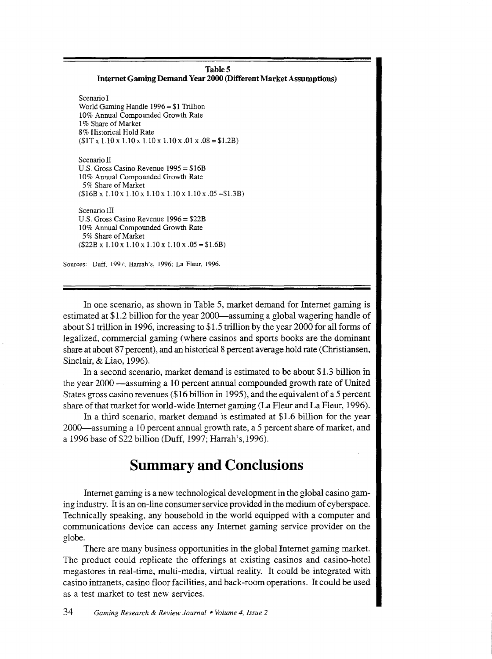| <b>Table 5</b>                                                  |
|-----------------------------------------------------------------|
| Internet Gaming Demand Year 2000 (Different Market Assumptions) |

Scenario I World Gaming Handle 1996 = \$1 Trillion 10% Annual Compounded Growth Rate 1% Share of Market 8% Historical Hold Rate  $($1T \times 1.10 \times 1.10 \times 1.10 \times 1.10 \times .01 \times .08 = $1.2B)$ 

Scenario II U.S. Gross Casino Revenue 1995 = \$16B 10% Annual Compounded Growth Rate 5% Share of Market  $($16B \times 1.10 \times 1.10 \times 1.10 \times 1.10 \times 1.10 \times .05 = $1.3B)$ 

Scenario III U.S. Gross Casino Revenue 1996 = \$22B 10% Annual Compounded Growth Rate 5% Share of Market  $($22B \times 1.10 \times 1.10 \times 1.10 \times 1.10 \times .05 = $1.6B)$ 

Sources: Duff, 1997; Harrah's, 1996; La Fleur, 1996.

In one scenario, as shown in Table 5, market demand for Internet gaming is estimated at \$1.2 billion for the year 2000—assuming a global wagering handle of about \$1 trillion in 1996, increasing to \$1.5 trillion by the year 2000 for all forms of legalized, commercial gaming (where casinos and sports books are the dominant share at about 87 percent), and an historical 8 percent average hold rate (Christiansen, Sinclair, & Liao, 1996).

In a second scenario, market demand is estimated to be about \$1.3 billion in the year 2000 —assuming a 10 percent annual compounded growth rate of United States gross casino revenues (\$16 billion in 1995), and the equivalent of a 5 percent share of that market for world-wide Internet gaming (La Fleur and La Fleur, 1996).

In a third scenario, market demand is estimated at \$1.6 billion for the year 2000-assuming a 10 percent annual growth rate, a 5 percent share of market, and a 1996 base of \$22 billion (Duff, 1997; Harrah's, 1996).

# **Summary and Conclusions**

Internet gaming is a new technological development in the global casino gaming industry. It is an on-line consumer service provided in the medium of cyberspace. Technically speaking, any household in the world equipped with a computer and communications device can access any Internet gaming service provider on the globe.

There are many business opportunities in the global Internet gaming market. The product could replicate the offerings at existing casinos and casino-hotel megastores in real-time, multi-media, virtual reality. It could be integrated with casino intranets, casino floor facilities, and back-room operations. It could be used as a test market to test new services.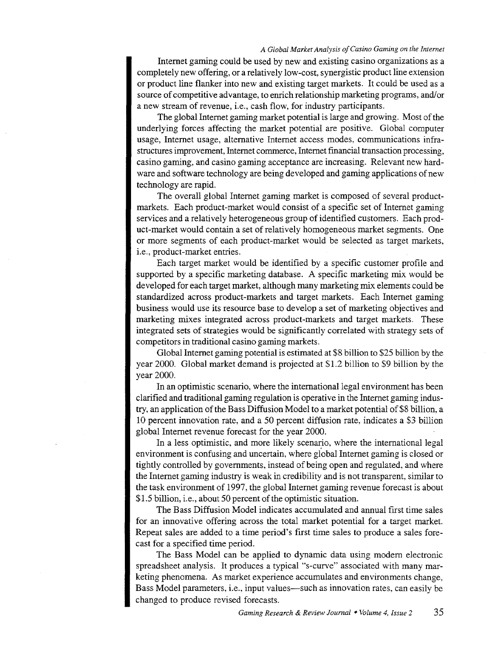Internet gaming could be used by new and existing casino organizations as a completely new offering, or a relatively low-cost, synergistic product line extension or product line flanker into new and existing target markets. It could be used as a source of competitive advantage, to enrich relationship marketing programs, and/or a new stream of revenue, i.e., cash flow, for industry participants.

The global Internet gaming market potential is large and growing. Most of the underlying forces affecting the market potential are positive. Global computer usage, Internet usage, alternative Internet access modes, communications infrastructures improvement, Internet commerce, Internet financial transaction processing, casino gaming, and casino gaming acceptance are increasing. Relevant new hardware and software technology are being developed and gaming applications of new technology are rapid.

The overall global Internet gaming market is composed of several productmarkets. Each product-market would consist of a specific set of Internet gaming services and a relatively heterogeneous group of identified customers. Each product-market would contain a set of relatively homogeneous market segments. One or more segments of each product-market would be selected as target markets, i.e., product-market entries.

Each target market would be identified by a specific customer profile and supported by a specific marketing database. A specific marketing mix would be developed for each target market, although many marketing mix elements could be standardized across product-markets and target markets. Each Internet gaming business would use its resource base to develop a set of marketing objectives and marketing mixes integrated across product-markets and target markets. These integrated sets of strategies would be significantly correlated with strategy sets of competitors in traditional casino gaming markets.

Global Internet gaming potential is estimated at \$8 billion to \$25 billion by the year 2000. Global market demand is projected at \$1.2 billion to \$9 billion by the year 2000.

In an optimistic scenario, where the international legal environment has been clarified and traditional gaming regulation is operative in the Internet gaming industry, an application of the Bass Diffusion Model to a market potential of \$8 billion, a 10 percent innovation rate, and a 50 percent diffusion rate, indicates a \$3 billion global Internet revenue forecast for the year 2000.

In a less optimistic, and more likely scenario, where the international legal environment is confusing and uncertain, where global Internet gaming is closed or tightly controlled by governments, instead of being open and regulated, and where the Internet gaming industry is weak in credibility and is not transparent, similar to the task environment of 1997, the global Internet gaming revenue forecast is about \$1.5 billion, i.e., about 50 percent of the optimistic situation.

The Bass Diffusion Model indicates accumulated and annual first time sales for an innovative offering across the total market potential for a target market. Repeat sales are added to a time period's first time sales to produce a sales forecast for a specified time period.

The Bass Model can be applied to dynamic data using modern electronic spreadsheet analysis. It produces a typical "s-curve" associated with many marketing phenomena. As market experience accumulates and environments change, Bass Model parameters, i.e., input values—such as innovation rates, can easily be changed to produce revised forecasts.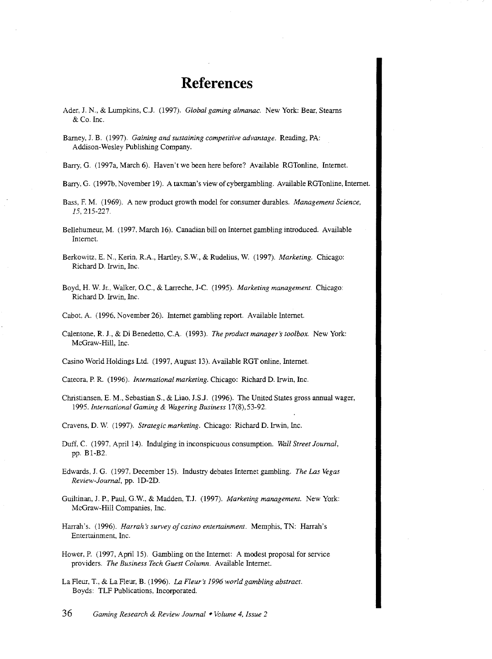# **References**

- Ader, J. N., & Lumpkins, C.J. (1997). *Global gaming almanac.* New York: Bear, Stearns & Co. Inc.
- Barney, J. B. (1997). *Gaining and sustaining competitive advantage.* Reading, PA: Addison-Wesley Publishing Company.

Barry, G. (1997a, March 6). Haven't we been here before? Available RGTonline, Internet.

Barry, G. (1997b, November 19). A taxman's view of cybergarnbling. Available RGTonline, Internet.

- Bass, F. M. (1969). A new product growth model for consumer durables. *Management Science,*  15, 215-227.
- Bellehumeur, M. (1997. March 16). Canadian bill on Internet gambling introduced. Available Internet.
- Berkowitz, E. N., Kerin, R.A., Hartley, S.W., & Rudelius, W. (1997). *Marketing.* Chicago: Richard D. Irwin, Inc.
- Boyd, H. W. Jr., Walker, O.C., & Larreche, J-C. (1995). *Marketing management.* Chicago: Richard D. Irwin, Inc.

Cabot, A. (1996, November 26). Internet gambling report. Available Internet.

Calentone, R. J., & Di Benedetto, C.A. (1993). *The product manager's toolbox*. New York: McGraw-Hill, Inc.

Casino World Holdings Ltd. (1997, August 13). Available RGT online, Internet.

Cateora, P.R. (1996). *International marketing.* Chicago: Richard D. Irwin, Inc.

Christiansen, E. M., Sebastian S., & Liao, J.S.J. (1996). The United States gross annual wager, 1995. *International Gaming* & *Wagering Business* 17(8), 53-92.

Cravens, D. W. (1997). *Strategic marketing.* Chicago: Richard D. Irwin, Inc.

- Duff, C. (1997, April 14). Indulging in inconspicuous consumption. *Wall Street Journal*, pp. Bl-B2.
- Edwards, J. G. (1997, December 15). Industry debates Internet gambling. *The Las Vegas Review-Journal,* pp. 1D-2D.
- Guiltinan, J.P., Paul, G.W., & Madden, T.J. (1997). *Marketing management.* New York: McGraw-Hill Companies, Inc.
- Harrah's. (1996). *Harrah's survey of casino entenainment.* Memphis, TN: Harrah's Entertainment, Inc.
- Hower, P. (1997, April 15). Gambling on the Internet: A modest proposal for service providers. *The Business Tech Guest Column.* Available Internet.
- La Fleur, T., & La Fleur, B. (1996). *La Fleur's 1996 world gambling abstract.*  Boyds: TLF Publications, Incorporated.

36 *Gaming Research* & *Review Journal* • *Volume 4, issue 2*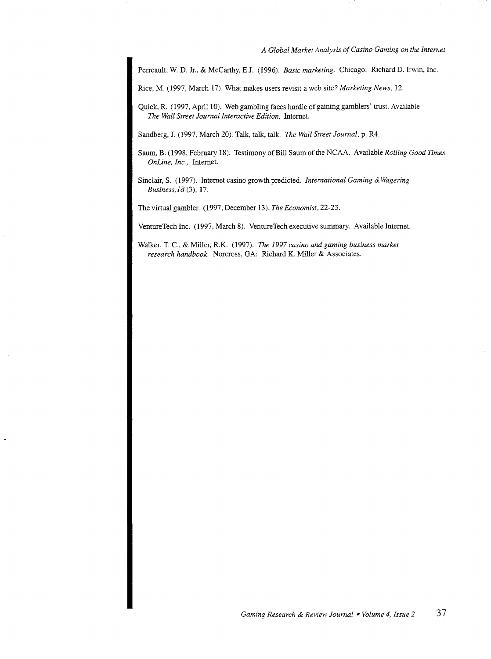Perreault, W. D. Jr,, & McCarthy, E.J. (1996). *Basic marketing.* Chicago: Richard D. Irwin, Inc.

Rice, M. (1997, March 17). What makes users revisit a web site? *Marketing News,* 12.

Quick, R. (1997, April 10). Web gambling faces hurdle of gaining gamblers' trust. Available *The Wall Street Journal Interactive Edition,* Internet.

Sandberg, J. (1997, March 20). Talk, talk, talk. *The Wall Street Journal,* p. R4.

Saum, B. (1998, February 18). Testimony of Bill Saum of the NCAA. Available *Rolling Good Times OnLine, Inc.,* Internet.

Sinclair, S. (1997). Internet casino growth predicted. *International Gaming* & *Wagering Business, IS* (3), 17.

The virtual gambler. ( 1997, December 13). *The Economist,* 22-23.

VentureTech Inc. (1997, March 8). VentureTech executive summary. Available Internet.

Walker, T. C., & Miller, R.K. (1997). *The 1997 casino and gaming business market research handbook.* Norcross, GA: Richard K. Miller & Associates.